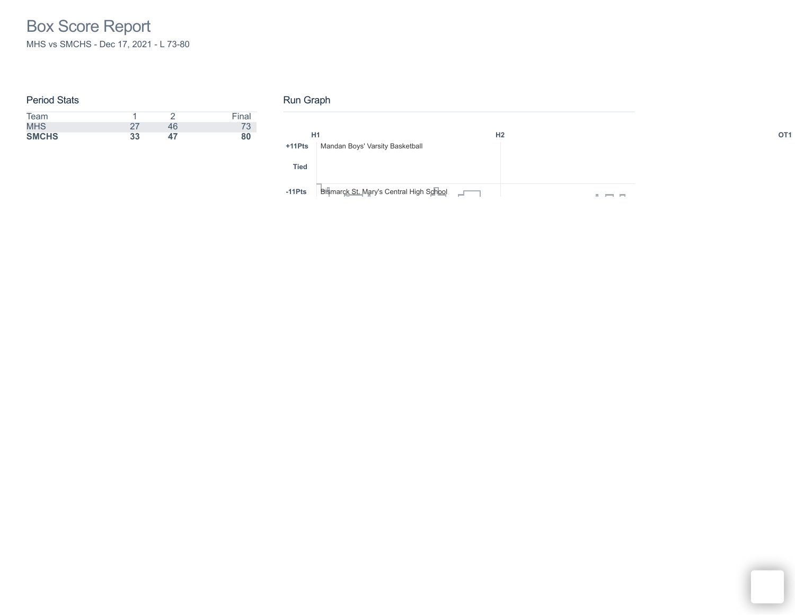# Box Score Report MHS vs SMCHS - Dec 17, 2021 - L 73-80

#### Period Stats

| Team         |    |    | Final |
|--------------|----|----|-------|
| <b>MHS</b>   |    | 46 | 73    |
| <b>SMCHS</b> | 33 | 47 | 80    |

### Run Graph

| H1          |                                              | H <sub>2</sub> | OT <sub>1</sub> |
|-------------|----------------------------------------------|----------------|-----------------|
| +11Pts      | Mandan Boys' Varsity Basketball              |                |                 |
| <b>Tied</b> |                                              |                |                 |
| $-11Pts$    | Bismarck St. Mary's Central High School Fall | <b>COL</b>     |                 |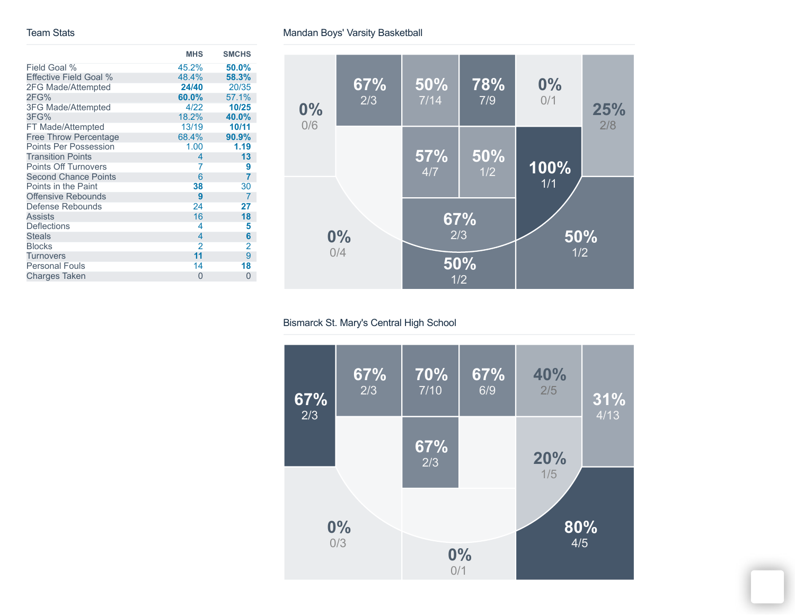#### Team Stats

|                              | <b>MHS</b>     | <b>SMCHS</b>   |
|------------------------------|----------------|----------------|
| Field Goal %                 | 45.2%          | 50.0%          |
| Effective Field Goal %       | 48.4%          | 58.3%          |
| 2FG Made/Attempted           | 24/40          | 20/35          |
| 2FG%                         | 60.0%          | 57.1%          |
| 3FG Made/Attempted           | 4/22           | 10/25          |
| 3FG%                         | 18.2%          | 40.0%          |
| FT Made/Attempted            | 13/19          | 10/11          |
| <b>Free Throw Percentage</b> | 68.4%          | 90.9%          |
| <b>Points Per Possession</b> | 1.00           | 1.19           |
| <b>Transition Points</b>     | $\overline{4}$ | 13             |
| Points Off Turnovers         | 7              | 9              |
| <b>Second Chance Points</b>  | 6              | 7              |
| Points in the Paint          | 38             | 30             |
| <b>Offensive Rebounds</b>    | 9              | $\overline{7}$ |
| Defense Rebounds             | 24             | 27             |
| <b>Assists</b>               | 16             | 18             |
| <b>Deflections</b>           | 4              | 5              |
| <b>Steals</b>                | 4              | 6              |
| <b>Blocks</b>                | $\overline{2}$ | 2              |
| <b>Turnovers</b>             | 11             | 9              |
| <b>Personal Fouls</b>        | 14             | 18             |
| <b>Charges Taken</b>         | 0              | 0              |



### Bismarck St. Mary's Central High School